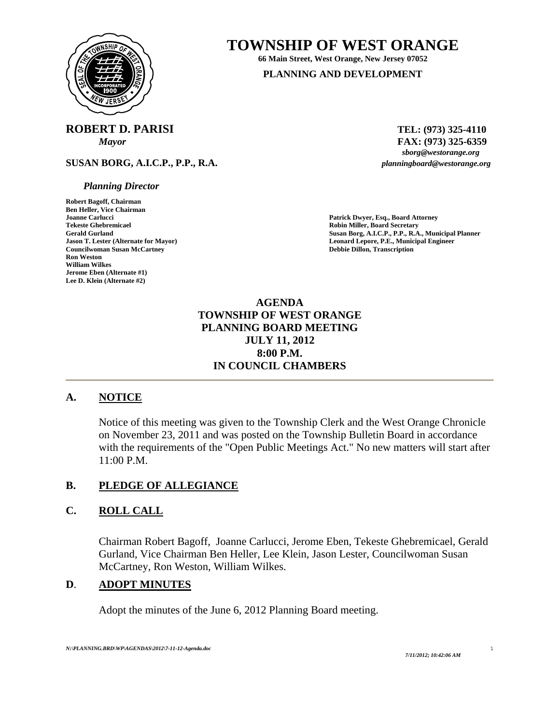

# **TOWNSHIP OF WEST ORANGE**

**66 Main Street, West Orange, New Jersey 07052 PLANNING AND DEVELOPMENT**

# **ROBERT D. PARISI** TEL: (973) 325-4110

**SUSAN BORG, A.I.C.P., P.P., R.A.** *planningboard@westorange.org* 

#### *Planning Director*

**Robert Bagoff, Chairman Ben Heller, Vice Chairman Joanne Carlucci Patrick Dwyer, Esq., Board Attorney Councilwoman Susan McCartney**<br>Ron Weston **William Wilkes Jerome Eben (Alternate #1) Lee D. Klein (Alternate #2)** 

*Mayor* **FAX:** (973) 325-6359<br>*sborg@westorange.org* 

**Robin Miller, Board Secretary** Gerald Gurland **Gurland Susan Borg, A.I.C.P., P.P., R.A., Municipal Planner**<br> **Gerald Gurland Lepore, P.E., Municipal Engineer**<br> **Leonard Lepore, P.E., Municipal Engineer Leonard Lepore, P.E., Municipal Engineer Debbie Dillon, Transcription** 

## **AGENDA TOWNSHIP OF WEST ORANGE PLANNING BOARD MEETING JULY 11, 2012 8:00 P.M. IN COUNCIL CHAMBERS**

## **A. NOTICE**

Notice of this meeting was given to the Township Clerk and the West Orange Chronicle on November 23, 2011 and was posted on the Township Bulletin Board in accordance with the requirements of the "Open Public Meetings Act." No new matters will start after 11:00 P.M.

## **B. PLEDGE OF ALLEGIANCE**

## **C. ROLL CALL**

Chairman Robert Bagoff, Joanne Carlucci, Jerome Eben, Tekeste Ghebremicael, Gerald Gurland, Vice Chairman Ben Heller, Lee Klein, Jason Lester, Councilwoman Susan McCartney, Ron Weston, William Wilkes.

### **D**. **ADOPT MINUTES**

Adopt the minutes of the June 6, 2012 Planning Board meeting.